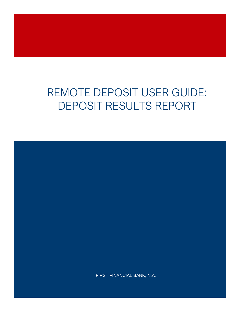# REMOTE DEPOSIT USER GUIDE: DEPOSIT RESULTS REPORT

FIRST FINANCIAL BANK, N.A.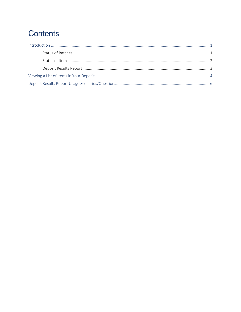## **Contents**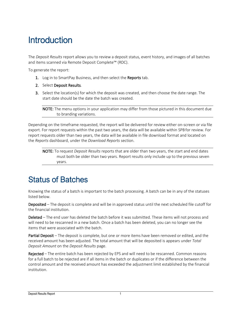# <span id="page-2-0"></span>**Introduction**

The *Deposit Results* report allows you to review a deposit status, event history, and images of all batches and items scanned via Remote Deposit Complete™ (RDC).

To generate the report:

- 1. Log in to SmartPay Business, and then select the Reports tab.
- 2. Select Deposit Results.
- 3. Select the location(s) for which the deposit was created, and then choose the date range. The start date should be the date the batch was created.

NOTE: The menu options in your application may differ from those pictured in this document due to branding variations.

Depending on the timeframe requested, the report will be delivered for review either on-screen or via file export. For report requests within the past two years, the data will be available within SPB for review. For report requests older than two years, the data will be available in file download format and located on the *Reports* dashboard, under the *Download Reports* section.

NOTE: To request *Deposit Results* reports that are older than two years, the start and end dates must both be older than two years. Report results only include up to the previous seven years.

### <span id="page-2-1"></span>Status of Batches

Knowing the status of a batch is important to the batch processing. A batch can be in any of the statuses listed below.

Deposited – The deposit is complete and will be in approved status until the next scheduled file cutoff for the financial institution.

Deleted – The end user has deleted the batch before it was submitted. These items will not process and will need to be rescanned in a new batch. Once a batch has been deleted, you can no longer see the items that were associated with the batch.

Partial Deposit – The deposit is complete, but one or more items have been removed or edited, and the received amount has been adjusted. The total amount that will be deposited is appears under *Total Deposit Amount* on the *Deposit Results* page.

Rejected – The entire batch has been rejected by EPS and will need to be rescanned. Common reasons for a full batch to be rejected are if all items in the batch or duplicates or if the difference between the control amount and the received amount has exceeded the adjustment limit established by the financial institution.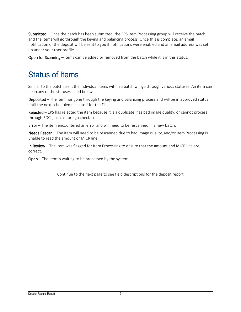Submitted – Once the batch has been submitted, the EPS Item Processing group will receive the batch, and the items will go through the keying and balancing process. Once this is complete, an email notification of the deposit will be sent to you if notifications were enabled and an email address was set up under your user profile.

Open for Scanning – Items can be added or removed from the batch while it is in this status.

### <span id="page-3-0"></span>Status of Items

Similar to the batch itself, the individual items within a batch will go through various statuses. An item can be in any of the statuses listed below.

Deposited – The item has gone through the keying and balancing process and will be in approved status until the next scheduled file cutoff for the FI.

Rejected – EPS has rejected the item because it is a duplicate, has bad image quality, or cannot process through RDC (such as foreign checks.)

Error – The item encountered an error and will need to be rescanned in a new batch.

Needs Rescan – The item will need to be rescanned due to bad image quality, and/or Item Processing is unable to read the amount or MICR line.

In Review – The item was flagged for Item Processing to ensure that the amount and MICR line are correct.

Open – The item is waiting to be processed by the system.

Continue to the next page to see field descriptions for the deposit report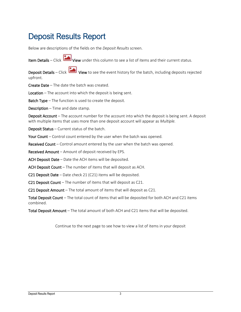### <span id="page-4-0"></span>Deposit Results Report

Below are descriptions of the fields on the *Deposit Results* screen.

Item Details – Click View under this column to see a list of items and their current status.

Deposit Details – Click View to see the event history for the batch, including deposits rejected upfront.

Create Date – The date the batch was created.

Location – The account into which the deposit is being sent.

**Batch Type** – The function is used to create the deposit.

Description – Time and date stamp.

Deposit Account – The account number for the account into which the deposit is being sent. A deposit with multiple items that uses more than one deposit account will appear as *Multiple.*

Deposit Status – Current status of the batch.

Your Count – Control count entered by the user when the batch was opened.

Received Count – Control amount entered by the user when the batch was opened.

Received Amount – Amount of deposit received by EPS.

ACH Deposit Date – Date the ACH items will be deposited.

ACH Deposit Count – The number of items that will deposit as ACH.

C21 Deposit Date – Date check 21 (C21) items will be deposited.

C21 Deposit Count – The number of items that will deposit as C21.

C21 Deposit Amount – The total amount of items that will deposit as C21.

Total Deposit Count – The total count of items that will be deposited for both ACH and C21 items combined.

Total Deposit Amount – The total amount of both ACH and C21 items that will be deposited.

Continue to the next page to see how to view a list of items in your deposit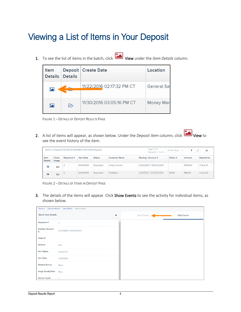# <span id="page-5-0"></span>Viewing a List of Items in Your Deposit

1. To see the list of items in the batch, click View under the *Item Details* column.

| Item<br><b>Details</b>  | <b>Details</b> | Deposit   Create Date     | Location    |
|-------------------------|----------------|---------------------------|-------------|
| $\overline{\mathbf{z}}$ |                | 11/22/2016 02:17:32 PM CT | General Sav |
| 區                       | ⊳              | 11/30/2016 03:05:16 PM CT | Money Marl  |

FIGURE 1 – DETAILS OF DEPOSIT RESULTS PAGE

2. A list of items will appear, as shown below. Under the *Deposit Item* column, click View to see the event history of the item.

| Items in Deposit 10:39:03.1610089 12/9/2016 Deposit |                |            |            |               | Page 1 of 1<br>₿<br>25 Per Page<br>Y.<br>a de<br>$\sim$<br>Records 1 - 2 of 2 |                     |         |          |            |
|-----------------------------------------------------|----------------|------------|------------|---------------|-------------------------------------------------------------------------------|---------------------|---------|----------|------------|
| Item<br><b>Details</b>                              | Check<br>Image | Sequence # | Item Date  | <b>Status</b> | <b>Customer Name</b>                                                          | Routing / Account # | Check # | Amount   | Deposit As |
| 囜                                                   | 三              |            | 12/09/2016 | Deposited     | Candy Cannon                                                                  |                     |         | \$300.00 | Check 21   |
| $\overline{\mathbf{z}}$                             | 臣              |            | 12/09/2016 | Deposited     | ProfitStars                                                                   | 1 H J               | 12350   | \$85.00  | Check 21   |



3. The details of the items will appear. Click Show Events to see the activity for individual items, as shown below.

| Reports / Deposit Results / Item Details / Batch Details |                        |   |             |                    |  |
|----------------------------------------------------------|------------------------|---|-------------|--------------------|--|
| <b>Batch Item Details</b>                                |                        | ٥ | Show Events | <b>Hide Events</b> |  |
| Sequence #:                                              | $\overline{2}$         |   |             |                    |  |
| <b>Routing / Account</b><br>#:                           | 123203878 / XXXXXX2134 |   |             |                    |  |
| Check #:                                                 |                        |   |             |                    |  |
| Amount:                                                  | 300                    |   |             |                    |  |
| <b>Item Status:</b>                                      | Deposited              |   |             |                    |  |
| <b>Item Date:</b>                                        | 12/09/2016             |   |             |                    |  |
| <b>Amount Source:</b>                                    | Read                   |   |             |                    |  |
| <b>Image Quality Pass:</b>                               | Pass                   |   |             |                    |  |
| <b>Rescan Count:</b>                                     | 1                      |   |             |                    |  |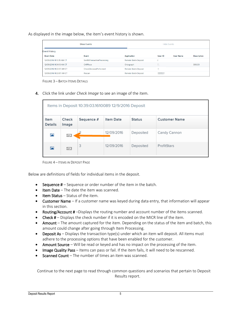As displayed in the image below, the item's event history is shown.

|                           |                                    |                             | <b>Hide Events</b> |                  |                    |  |
|---------------------------|------------------------------------|-----------------------------|--------------------|------------------|--------------------|--|
| <b>Event History</b>      |                                    |                             |                    |                  |                    |  |
| <b>Event Date</b>         | Event                              | <b>Application</b>          | User ID            | <b>User Name</b> | <b>Description</b> |  |
| 12/09/2016 11:13:35 AM CT | <b>SentToTransactionProcessing</b> | <b>Remote Batch Deposit</b> | n.                 |                  |                    |  |
| 12/09/2016 11:04:13 AM CT | CARReco                            | Orbograph                   |                    |                  | 300.00             |  |
| 12/09/2016 11:03:57 AM CT | <b>CheckDecisionPerformed</b>      | <b>Remote Batch Deposit</b> | н                  |                  |                    |  |
| 12/09/2016 11:03:57 AM CT | Rescan                             | <b>Remote Batch Deposit</b> |                    |                  |                    |  |

FIGURE 3 – BATCH ITEMS DETAILS

4. Click the link under *Check Image* to see an image of the item.

| Items in Deposit 10:39:03.1610089 12/9/2016 Deposit                           |                |            |                  |               |                      |  |  |  |
|-------------------------------------------------------------------------------|----------------|------------|------------------|---------------|----------------------|--|--|--|
| Item<br><b>Details</b>                                                        | Check<br>Image | Sequence # | <b>Item Date</b> | <b>Status</b> | <b>Customer Name</b> |  |  |  |
| $\mathbf{z}$                                                                  | ÈΞ             |            | 12/09/2016       | Deposited     | Candy Cannon         |  |  |  |
| 3<br>ProfitStars<br>12/09/2016<br>Deposited<br>$\overline{\mathbf{z}}$<br>E S |                |            |                  |               |                      |  |  |  |

FIGURE 4 – ITEMS IN DEPOSIT PAGE

Below are definitions of fields for individual items in the deposit.

- **•** Sequence  $#$  Sequence or order number of the item in the batch.
- Item Date The date the item was scanned.
- Item Status Status of the item.
- Customer Name If a customer name was keyed during data entry, that information will appear in this section.
- Routing/Account # –Displays the routing number and account number of the items scanned.
- Check # Displays the check number if it is encoded on the MICR line of the item.
- Amount The amount captured for the item. Depending on the status of the item and batch, this amount could change after going through Item Processing.
- Deposit As Displays the transaction type(s) under which an item will deposit. All items must adhere to the processing options that have been enabled for the customer.
- Amount Source Will be read or keyed and has no impact on the processing of the item.
- Image Quality Pass Items can pass or fail. If the item fails, it will need to be rescanned.
- Scanned Count The number of times an item was scanned.

Continue to the next page to read through common questions and scenarios that pertain to Deposit Results report.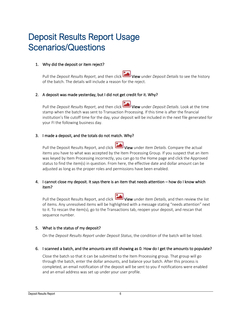# <span id="page-7-0"></span>Deposit Results Report Usage Scenarios/Questions

#### 1. Why did the deposit or item reject?

Pull the *Deposit Results Report*, and then click View under *Deposit Details* to see the history of the batch. The details will include a reason for the reject.

#### 2. A deposit was made yesterday, but I did not get credit for it. Why?

Pull the *Deposit Results Report*, and then click View under *Deposit Details*. Look at the time stamp when the batch was sent to Transaction Processing. If this time is after the financial institution's file cutoff time for the day, your deposit will be included in the next file generated for your FI the following business day.

#### 3. I made a deposit, and the totals do not match. Why?

Pull the Deposit Results Report, and click View under *Item Details*. Compare the actual items you have to what was accepted by the Item Processing Group. If you suspect that an item was keyed by Item Processing incorrectly, you can go to the Home page and click the Approved status to find the item(s) in question. From here, the effective date and dollar amount can be adjusted as long as the proper roles and permissions have been enabled.

#### 4. I cannot close my deposit. It says there is an item that needs attention – how do I know which item?

Pull the Deposit Results Report, and click View under *Item Details*, and then review the list of items. Any unresolved items will be highlighted with a message stating "needs attention" next to it. To rescan the item(s), go to the Transactions tab, reopen your deposit, and rescan that sequence number.

#### 5. What is the status of my deposit?

On the *Deposit Results Report* under *Deposit Status*, the condition of the batch will be listed.

6. I scanned a batch, and the amounts are still showing as 0. How do I get the amounts to populate?

Close the batch so that it can be submitted to the Item Processing group. That group will go through the batch, enter the dollar amounts, and balance your batch. After this process is completed, an email notification of the deposit will be sent to you if notifications were enabled and an email address was set up under your user profile.